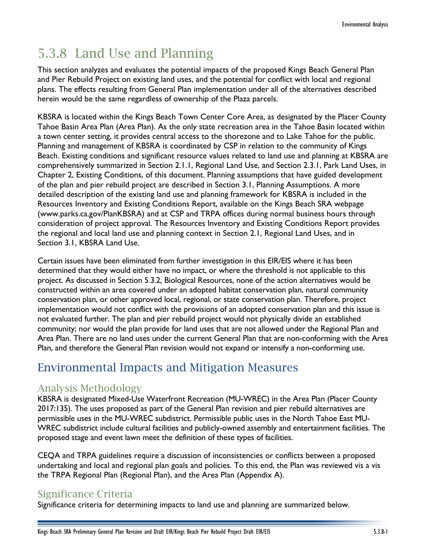# 5.3.8 Land Use and Planning

This section analyzes and evaluates the potential impacts of the proposed Kings Beach General Plan and Pier Rebuild Project on existing land uses, and the potential for conflict with local and regional plans. The effects resulting from General Plan implementation under all of the alternatives described herein would be the same regardless of ownership of the Plaza parcels.

KBSRA is located within the Kings Beach Town Center Core Area, as designated by the Placer County Tahoe Basin Area Plan (Area Plan). As the only state recreation area in the Tahoe Basin located within a town center setting, it provides central access to the shorezone and to Lake Tahoe for the public. Planning and management of KBSRA is coordinated by CSP in relation to the community of Kings Beach. Existing conditions and significant resource values related to land use and planning at KBSRA are comprehensively summarized in Section 2.1.1, Regional Land Use, and Section 2.3.1, Park Land Uses, in Chapter 2, Existing Conditions, of this document. Planning assumptions that have guided development of the plan and pier rebuild project are described in Section 3.1, Planning Assumptions. A more detailed description of the existing land use and planning framework for KBSRA is included in the Resources Inventory and Existing Conditions Report, available on the Kings Beach SRA webpage [\(www.parks.ca.gov/PlanKBSRA\)](http://www.parks.ca.gov/PlanKBSRA) and at CSP and TRPA offices during normal business hours through consideration of project approval. The Resources Inventory and Existing Conditions Report provides the regional and local land use and planning context in Section 2.1, Regional Land Uses, and in Section 3.1, KBSRA Land Use.

Certain issues have been eliminated from further investigation in this EIR/EIS where it has been determined that they would either have no impact, or where the threshold is not applicable to this project. As discussed in Section 5.3.2, Biological Resources, none of the action alternatives would be constructed within an area covered under an adopted habitat conservation plan, natural community conservation plan, or other approved local, regional, or state conservation plan. Therefore, project implementation would not conflict with the provisions of an adopted conservation plan and this issue is not evaluated further. The plan and pier rebuild project would not physically divide an established community; nor would the plan provide for land uses that are not allowed under the Regional Plan and Area Plan. There are no land uses under the current General Plan that are non-conforming with the Area Plan, and therefore the General Plan revision would not expand or intensify a non-conforming use.

## Environmental Impacts and Mitigation Measures

## Analysis Methodology

KBSRA is designated Mixed-Use Waterfront Recreation (MU-WREC) in the Area Plan (Placer County 2017:135). The uses proposed as part of the General Plan revision and pier rebuild alternatives are permissible uses in the MU-WREC subdistrict. Permissible public uses in the North Tahoe East MU-WREC subdistrict include cultural facilities and publicly-owned assembly and entertainment facilities. The proposed stage and event lawn meet the definition of these types of facilities.

CEQA and TRPA guidelines require a discussion of inconsistencies or conflicts between a proposed undertaking and local and regional plan goals and policies. To this end, the Plan was reviewed vis a vis the TRPA Regional Plan (Regional Plan), and the Area Plan (Appendix A).

## Significance Criteria

Significance criteria for determining impacts to land use and planning are summarized below.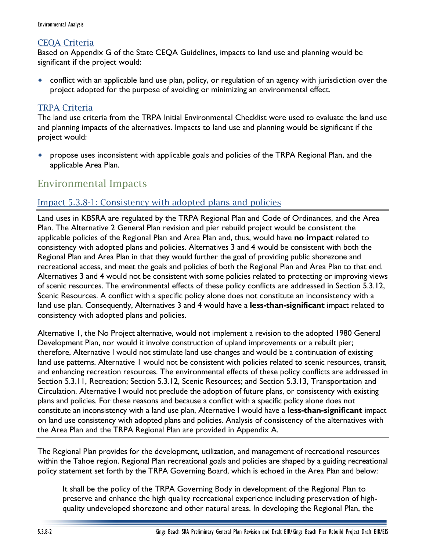#### CEQA Criteria

Based on Appendix G of the State CEQA Guidelines, impacts to land use and planning would be significant if the project would:

 conflict with an applicable land use plan, policy, or regulation of an agency with jurisdiction over the project adopted for the purpose of avoiding or minimizing an environmental effect.

#### TRPA Criteria

The land use criteria from the TRPA Initial Environmental Checklist were used to evaluate the land use and planning impacts of the alternatives. Impacts to land use and planning would be significant if the project would:

 propose uses inconsistent with applicable goals and policies of the TRPA Regional Plan, and the applicable Area Plan.

## Environmental Impacts

#### Impact 5.3.8-1: Consistency with adopted plans and policies

Land uses in KBSRA are regulated by the TRPA Regional Plan and Code of Ordinances, and the Area Plan. The Alternative 2 General Plan revision and pier rebuild project would be consistent the applicable policies of the Regional Plan and Area Plan and, thus, would have **no impact** related to consistency with adopted plans and policies. Alternatives 3 and 4 would be consistent with both the Regional Plan and Area Plan in that they would further the goal of providing public shorezone and recreational access, and meet the goals and policies of both the Regional Plan and Area Plan to that end. Alternatives 3 and 4 would not be consistent with some policies related to protecting or improving views of scenic resources. The environmental effects of these policy conflicts are addressed in Section 5.3.12, Scenic Resources. A conflict with a specific policy alone does not constitute an inconsistency with a land use plan. Consequently, Alternatives 3 and 4 would have a **less-than-significant** impact related to consistency with adopted plans and policies.

Alternative 1, the No Project alternative, would not implement a revision to the adopted 1980 General Development Plan, nor would it involve construction of upland improvements or a rebuilt pier; therefore, Alternative I would not stimulate land use changes and would be a continuation of existing land use patterns. Alternative I would not be consistent with policies related to scenic resources, transit, and enhancing recreation resources. The environmental effects of these policy conflicts are addressed in Section 5.3.11, Recreation; Section 5.3.12, Scenic Resources; and Section 5.3.13, Transportation and Circulation. Alternative I would not preclude the adoption of future plans, or consistency with existing plans and policies. For these reasons and because a conflict with a specific policy alone does not constitute an inconsistency with a land use plan, Alternative I would have a **less-than-significant** impact on land use consistency with adopted plans and policies. Analysis of consistency of the alternatives with the Area Plan and the TRPA Regional Plan are provided in Appendix A.

The Regional Plan provides for the development, utilization, and management of recreational resources within the Tahoe region. Regional Plan recreational goals and policies are shaped by a guiding recreational policy statement set forth by the TRPA Governing Board, which is echoed in the Area Plan and below:

It shall be the policy of the TRPA Governing Body in development of the Regional Plan to preserve and enhance the high quality recreational experience including preservation of highquality undeveloped shorezone and other natural areas. In developing the Regional Plan, the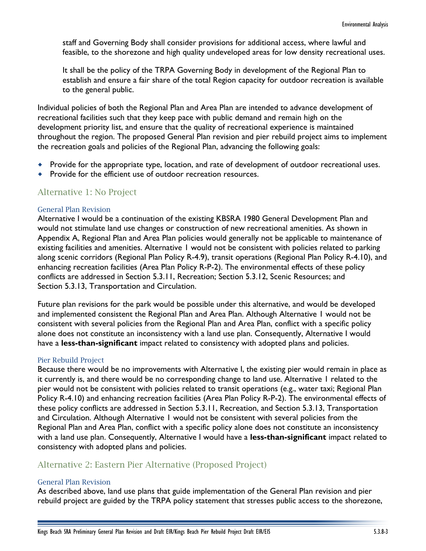staff and Governing Body shall consider provisions for additional access, where lawful and feasible, to the shorezone and high quality undeveloped areas for low density recreational uses.

It shall be the policy of the TRPA Governing Body in development of the Regional Plan to establish and ensure a fair share of the total Region capacity for outdoor recreation is available to the general public.

Individual policies of both the Regional Plan and Area Plan are intended to advance development of recreational facilities such that they keep pace with public demand and remain high on the development priority list, and ensure that the quality of recreational experience is maintained throughout the region. The proposed General Plan revision and pier rebuild project aims to implement the recreation goals and policies of the Regional Plan, advancing the following goals:

- Provide for the appropriate type, location, and rate of development of outdoor recreational uses.
- Provide for the efficient use of outdoor recreation resources.

#### Alternative 1: No Project

#### General Plan Revision

Alternative I would be a continuation of the existing KBSRA 1980 General Development Plan and would not stimulate land use changes or construction of new recreational amenities. As shown in Appendix A, Regional Plan and Area Plan policies would generally not be applicable to maintenance of existing facilities and amenities. Alternative 1 would not be consistent with policies related to parking along scenic corridors (Regional Plan Policy R-4.9), transit operations (Regional Plan Policy R-4.10), and enhancing recreation facilities (Area Plan Policy R-P-2). The environmental effects of these policy conflicts are addressed in Section 5.3.11, Recreation; Section 5.3.12, Scenic Resources; and Section 5.3.13, Transportation and Circulation.

Future plan revisions for the park would be possible under this alternative, and would be developed and implemented consistent the Regional Plan and Area Plan. Although Alternative 1 would not be consistent with several policies from the Regional Plan and Area Plan, conflict with a specific policy alone does not constitute an inconsistency with a land use plan. Consequently, Alternative I would have a **less-than-significant** impact related to consistency with adopted plans and policies.

#### Pier Rebuild Project

Because there would be no improvements with Alternative I, the existing pier would remain in place as it currently is, and there would be no corresponding change to land use. Alternative 1 related to the pier would not be consistent with policies related to transit operations (e.g., water taxi; Regional Plan Policy R-4.10) and enhancing recreation facilities (Area Plan Policy R-P-2). The environmental effects of these policy conflicts are addressed in Section 5.3.11, Recreation, and Section 5.3.13, Transportation and Circulation. Although Alternative 1 would not be consistent with several policies from the Regional Plan and Area Plan, conflict with a specific policy alone does not constitute an inconsistency with a land use plan. Consequently, Alternative I would have a **less-than-significant** impact related to consistency with adopted plans and policies.

#### Alternative 2: Eastern Pier Alternative (Proposed Project)

#### General Plan Revision

As described above, land use plans that guide implementation of the General Plan revision and pier rebuild project are guided by the TRPA policy statement that stresses public access to the shorezone,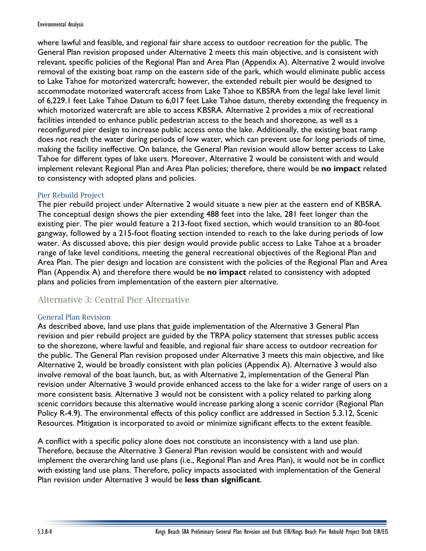where lawful and feasible, and regional fair share access to outdoor recreation for the public. The General Plan revision proposed under Alternative 2 meets this main objective, and is consistent with relevant, specific policies of the Regional Plan and Area Plan (Appendix A). Alternative 2 would involve removal of the existing boat ramp on the eastern side of the park, which would eliminate public access to Lake Tahoe for motorized watercraft; however, the extended rebuilt pier would be designed to accommodate motorized watercraft access from Lake Tahoe to KBSRA from the legal lake level limit of 6,229.1 feet Lake Tahoe Datum to 6,017 feet Lake Tahoe datum, thereby extending the frequency in which motorized watercraft are able to access KBSRA. Alternative 2 provides a mix of recreational facilities intended to enhance public pedestrian access to the beach and shorezone, as well as a reconfigured pier design to increase public access onto the lake. Additionally, the existing boat ramp does not reach the water during periods of low water, which can prevent use for long periods of time, making the facility ineffective. On balance, the General Plan revision would allow better access to Lake Tahoe for different types of lake users. Moreover, Alternative 2 would be consistent with and would implement relevant Regional Plan and Area Plan policies; therefore, there would be **no impact** related to consistency with adopted plans and policies.

#### Pier Rebuild Project

The pier rebuild project under Alternative 2 would situate a new pier at the eastern end of KBSRA. The conceptual design shows the pier extending 488 feet into the lake, 281 feet longer than the existing pier. The pier would feature a 213-foot fixed section, which would transition to an 80-foot gangway, followed by a 215-foot floating section intended to reach to the lake during periods of low water. As discussed above, this pier design would provide public access to Lake Tahoe at a broader range of lake level conditions, meeting the general recreational objectives of the Regional Plan and Area Plan. The pier design and location are consistent with the policies of the Regional Plan and Area Plan (Appendix A) and therefore there would be **no impact** related to consistency with adopted plans and policies from implementation of the eastern pier alternative.

#### Alternative 3: Central Pier Alternative

#### General Plan Revision

As described above, land use plans that guide implementation of the Alternative 3 General Plan revision and pier rebuild project are guided by the TRPA policy statement that stresses public access to the shorezone, where lawful and feasible, and regional fair share access to outdoor recreation for the public. The General Plan revision proposed under Alternative 3 meets this main objective, and like Alternative 2, would be broadly consistent with plan policies (Appendix A). Alternative 3 would also involve removal of the boat launch, but, as with Alternative 2, implementation of the General Plan revision under Alternative 3 would provide enhanced access to the lake for a wider range of users on a more consistent basis. Alternative 3 would not be consistent with a policy related to parking along scenic corridors because this alternative would increase parking along a scenic corridor (Regional Plan Policy R-4.9). The environmental effects of this policy conflict are addressed in Section 5.3.12, Scenic Resources. Mitigation is incorporated to avoid or minimize significant effects to the extent feasible.

A conflict with a specific policy alone does not constitute an inconsistency with a land use plan. Therefore, because the Alternative 3 General Plan revision would be consistent with and would implement the overarching land use plans (i.e., Regional Plan and Area Plan), it would not be in conflict with existing land use plans. Therefore, policy impacts associated with implementation of the General Plan revision under Alternative 3 would be **less than significant**.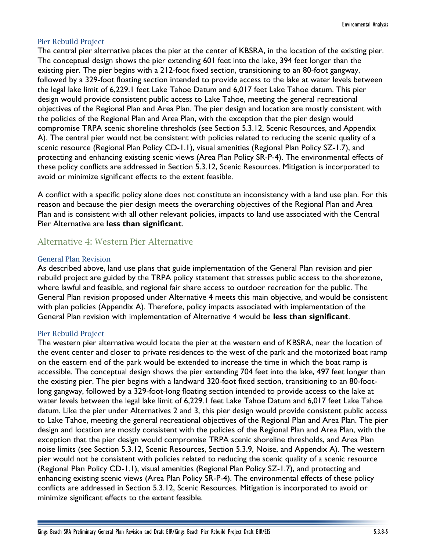#### Pier Rebuild Project

The central pier alternative places the pier at the center of KBSRA, in the location of the existing pier. The conceptual design shows the pier extending 601 feet into the lake, 394 feet longer than the existing pier. The pier begins with a 212-foot fixed section, transitioning to an 80-foot gangway, followed by a 329-foot floating section intended to provide access to the lake at water levels between the legal lake limit of 6,229.1 feet Lake Tahoe Datum and 6,017 feet Lake Tahoe datum. This pier design would provide consistent public access to Lake Tahoe, meeting the general recreational objectives of the Regional Plan and Area Plan. The pier design and location are mostly consistent with the policies of the Regional Plan and Area Plan, with the exception that the pier design would compromise TRPA scenic shoreline thresholds (see Section 5.3.12, Scenic Resources, and Appendix A). The central pier would not be consistent with policies related to reducing the scenic quality of a scenic resource (Regional Plan Policy CD-1.1), visual amenities (Regional Plan Policy SZ-1.7), and protecting and enhancing existing scenic views (Area Plan Policy SR-P-4). The environmental effects of these policy conflicts are addressed in Section 5.3.12, Scenic Resources. Mitigation is incorporated to avoid or minimize significant effects to the extent feasible.

A conflict with a specific policy alone does not constitute an inconsistency with a land use plan. For this reason and because the pier design meets the overarching objectives of the Regional Plan and Area Plan and is consistent with all other relevant policies, impacts to land use associated with the Central Pier Alternative are **less than significant**.

#### Alternative 4: Western Pier Alternative

#### General Plan Revision

As described above, land use plans that guide implementation of the General Plan revision and pier rebuild project are guided by the TRPA policy statement that stresses public access to the shorezone, where lawful and feasible, and regional fair share access to outdoor recreation for the public. The General Plan revision proposed under Alternative 4 meets this main objective, and would be consistent with plan policies (Appendix A). Therefore, policy impacts associated with implementation of the General Plan revision with implementation of Alternative 4 would be **less than significant**.

#### Pier Rebuild Project

The western pier alternative would locate the pier at the western end of KBSRA, near the location of the event center and closer to private residences to the west of the park and the motorized boat ramp on the eastern end of the park would be extended to increase the time in which the boat ramp is accessible. The conceptual design shows the pier extending 704 feet into the lake, 497 feet longer than the existing pier. The pier begins with a landward 320-foot fixed section, transitioning to an 80-footlong gangway, followed by a 329-foot-long floating section intended to provide access to the lake at water levels between the legal lake limit of 6,229.1 feet Lake Tahoe Datum and 6,017 feet Lake Tahoe datum. Like the pier under Alternatives 2 and 3, this pier design would provide consistent public access to Lake Tahoe, meeting the general recreational objectives of the Regional Plan and Area Plan. The pier design and location are mostly consistent with the policies of the Regional Plan and Area Plan, with the exception that the pier design would compromise TRPA scenic shoreline thresholds, and Area Plan noise limits (see Section 5.3.12, Scenic Resources, Section 5.3.9, Noise, and Appendix A). The western pier would not be consistent with policies related to reducing the scenic quality of a scenic resource (Regional Plan Policy CD-1.1), visual amenities (Regional Plan Policy SZ-1.7), and protecting and enhancing existing scenic views (Area Plan Policy SR-P-4). The environmental effects of these policy conflicts are addressed in Section 5.3.12, Scenic Resources. Mitigation is incorporated to avoid or minimize significant effects to the extent feasible.